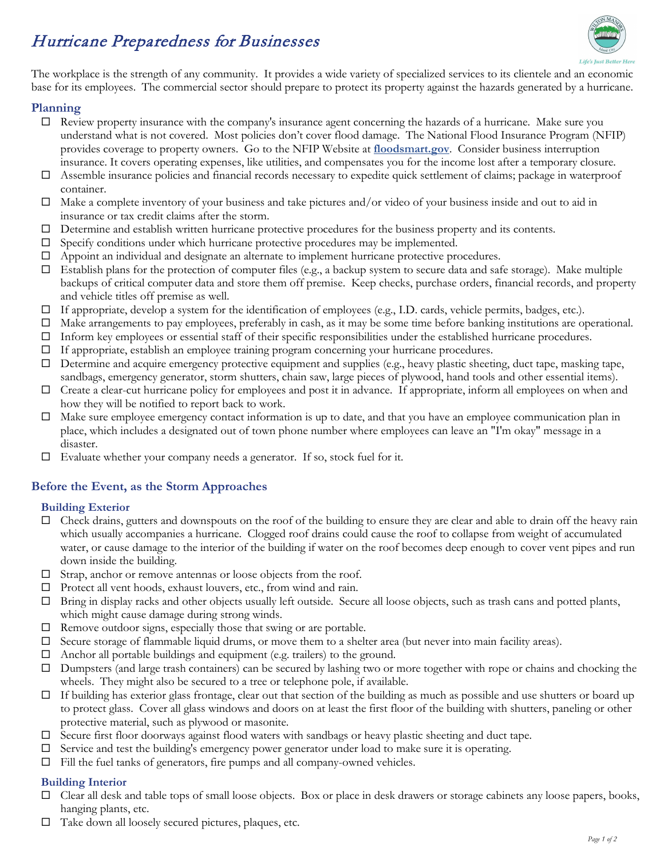# Hurricane Preparedness for Businesses



The workplace is the strength of any community. It provides a wide variety of specialized services to its clientele and an economic base for its employees. The commercial sector should prepare to protect its property against the hazards generated by a hurricane.

### **Planning**

- $\Box$  Review property insurance with the company's insurance agent concerning the hazards of a hurricane. Make sure you understand what is not covered. Most policies don't cover flood damage. The National Flood Insurance Program (NFIP) provides coverage to property owners. Go to the NFIP Website at **[floodsmart.gov](http://www.floodsmart.gov/)**. Consider business interruption insurance. It covers operating expenses, like utilities, and compensates you for the income lost after a temporary closure.
- $\Box$  Assemble insurance policies and financial records necessary to expedite quick settlement of claims; package in waterproof container.
- $\Box$  Make a complete inventory of your business and take pictures and/or video of your business inside and out to aid in insurance or tax credit claims after the storm.
- $\Box$  Determine and establish written hurricane protective procedures for the business property and its contents.
- $\square$  Specify conditions under which hurricane protective procedures may be implemented.
- Appoint an individual and designate an alternate to implement hurricane protective procedures.
- $\Box$  Establish plans for the protection of computer files (e.g., a backup system to secure data and safe storage). Make multiple backups of critical computer data and store them off premise. Keep checks, purchase orders, financial records, and property and vehicle titles off premise as well.
- If appropriate, develop a system for the identification of employees (e.g., I.D. cards, vehicle permits, badges, etc.).
- $\Box$  Make arrangements to pay employees, preferably in cash, as it may be some time before banking institutions are operational.
- $\Box$  Inform key employees or essential staff of their specific responsibilities under the established hurricane procedures.
- If appropriate, establish an employee training program concerning your hurricane procedures.
- $\Box$  Determine and acquire emergency protective equipment and supplies (e.g., heavy plastic sheeting, duct tape, masking tape, sandbags, emergency generator, storm shutters, chain saw, large pieces of plywood, hand tools and other essential items).
- $\Box$  Create a clear-cut hurricane policy for employees and post it in advance. If appropriate, inform all employees on when and how they will be notified to report back to work.
- Make sure employee emergency contact information is up to date, and that you have an employee communication plan in place, which includes a designated out of town phone number where employees can leave an "I'm okay" message in a disaster.
- $\Box$  Evaluate whether your company needs a generator. If so, stock fuel for it.

# **Before the Event, as the Storm Approaches**

#### **Building Exterior**

- $\Box$  Check drains, gutters and downspouts on the roof of the building to ensure they are clear and able to drain off the heavy rain which usually accompanies a hurricane. Clogged roof drains could cause the roof to collapse from weight of accumulated water, or cause damage to the interior of the building if water on the roof becomes deep enough to cover vent pipes and run down inside the building.
- $\Box$  Strap, anchor or remove antennas or loose objects from the roof.
- □ Protect all vent hoods, exhaust louvers, etc., from wind and rain.
- Bring in display racks and other objects usually left outside. Secure all loose objects, such as trash cans and potted plants, which might cause damage during strong winds.
- $\Box$  Remove outdoor signs, especially those that swing or are portable.
- $\Box$  Secure storage of flammable liquid drums, or move them to a shelter area (but never into main facility areas).
- Anchor all portable buildings and equipment (e.g. trailers) to the ground.
- $\square$  Dumpsters (and large trash containers) can be secured by lashing two or more together with rope or chains and chocking the wheels. They might also be secured to a tree or telephone pole, if available.
- $\Box$  If building has exterior glass frontage, clear out that section of the building as much as possible and use shutters or board up to protect glass. Cover all glass windows and doors on at least the first floor of the building with shutters, paneling or other protective material, such as plywood or masonite.
- $\Box$  Secure first floor doorways against flood waters with sandbags or heavy plastic sheeting and duct tape.
- $\Box$  Service and test the building's emergency power generator under load to make sure it is operating.
- $\Box$  Fill the fuel tanks of generators, fire pumps and all company-owned vehicles.

#### **Building Interior**

- $\Box$  Clear all desk and table tops of small loose objects. Box or place in desk drawers or storage cabinets any loose papers, books, hanging plants, etc.
- Take down all loosely secured pictures, plaques, etc.